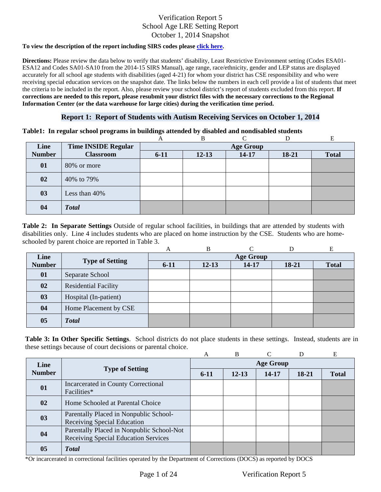#### **To view the description of the report including SIRS codes please click here.**

Information Center (or the data warehouse for large cities) during the verification time period. **Directions:** Please review the data below to verify that students' disability, Least Restrictive Environment setting (Codes ESA01- ESA12 and Codes SA01-SA10 from the 2014-15 SIRS Manual), age range, race/ethnicity, gender and LEP status are displayed accurately for all school age students with disabilities (aged 4-21) for whom your district has CSE responsibility and who were receiving special education services on the snapshot date. The links below the numbers in each cell provide a list of students that meet the criteria to be included in the report. Also, please review your school district's report of students excluded from this report. **If corrections are needed to this report, please resubmit your district files with the necessary corrections to the Regional** 

### **Report 1: Report of Students with Autism Receiving Services on October 1, 2014**

#### **Table1: In regular school programs in buildings attended by disabled and nondisabled students**

|               |                            | A        | В                |       |       |              |  |  |  |
|---------------|----------------------------|----------|------------------|-------|-------|--------------|--|--|--|
| Line          | <b>Time INSIDE Regular</b> |          | <b>Age Group</b> |       |       |              |  |  |  |
| <b>Number</b> | <b>Classroom</b>           | $6 - 11$ | $12 - 13$        | 14-17 | 18-21 | <b>Total</b> |  |  |  |
| 01            | 80% or more                |          |                  |       |       |              |  |  |  |
| 02            | 40% to 79%                 |          |                  |       |       |              |  |  |  |
| 03            | Less than 40%              |          |                  |       |       |              |  |  |  |
| 04            | <b>Total</b>               |          |                  |       |       |              |  |  |  |

schooled by parent choice are reported in Table 3.<br>
A B C D E **Table 2: In Separate Settings** Outside of regular school facilities, in buildings that are attended by students with disabilities only. Line 4 includes students who are placed on home instruction by the CSE. Students who are home-

|               |                             | A                | B         | ⌒     |         | E            |  |  |
|---------------|-----------------------------|------------------|-----------|-------|---------|--------------|--|--|
| Line          |                             | <b>Age Group</b> |           |       |         |              |  |  |
| <b>Number</b> | <b>Type of Setting</b>      | $6-11$           | $12 - 13$ | 14-17 | $18-21$ | <b>Total</b> |  |  |
| 01            | Separate School             |                  |           |       |         |              |  |  |
| 02            | <b>Residential Facility</b> |                  |           |       |         |              |  |  |
| 03            | Hospital (In-patient)       |                  |           |       |         |              |  |  |
| 04            | Home Placement by CSE       |                  |           |       |         |              |  |  |
| 05            | <b>Total</b>                |                  |           |       |         |              |  |  |

**Table 3: In Other Specific Settings**. School districts do not place students in these settings. Instead, students are in these settings because of court decisions or parental choice.

|                |                                                                                   | A                | B         |       |       | E            |  |  |
|----------------|-----------------------------------------------------------------------------------|------------------|-----------|-------|-------|--------------|--|--|
| Line           | <b>Type of Setting</b>                                                            | <b>Age Group</b> |           |       |       |              |  |  |
| <b>Number</b>  |                                                                                   | $6-11$           | $12 - 13$ | 14-17 | 18-21 | <b>Total</b> |  |  |
| 01             | Incarcerated in County Correctional<br>Facilities*                                |                  |           |       |       |              |  |  |
| 02             | Home Schooled at Parental Choice                                                  |                  |           |       |       |              |  |  |
| 03             | Parentally Placed in Nonpublic School-<br><b>Receiving Special Education</b>      |                  |           |       |       |              |  |  |
| 04             | Parentally Placed in Nonpublic School-Not<br>Receiving Special Education Services |                  |           |       |       |              |  |  |
| 0 <sub>5</sub> | <b>Total</b>                                                                      |                  |           |       |       |              |  |  |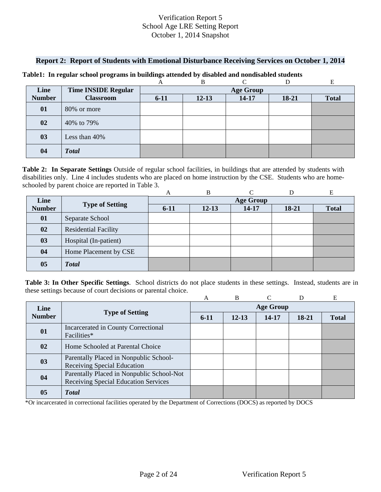### **Report 2: Report of Students with Emotional Disturbance Receiving Services on October 1, 2014**

|               |                            |                  | В         |           |       | E            |  |  |
|---------------|----------------------------|------------------|-----------|-----------|-------|--------------|--|--|
| Line          | <b>Time INSIDE Regular</b> | <b>Age Group</b> |           |           |       |              |  |  |
| <b>Number</b> | <b>Classroom</b>           | $6 - 11$         | $12 - 13$ | $14 - 17$ | 18-21 | <b>Total</b> |  |  |
| 01            | 80% or more                |                  |           |           |       |              |  |  |
| 02            | 40% to 79%                 |                  |           |           |       |              |  |  |
| 03            | Less than 40%              |                  |           |           |       |              |  |  |
| 04            | <b>Total</b>               |                  |           |           |       |              |  |  |

#### **Table1: In regular school programs in buildings attended by disabled and nondisabled students**

 schooled by parent choice are reported in Table 3. **Table 2: In Separate Settings** Outside of regular school facilities, in buildings that are attended by students with disabilities only. Line 4 includes students who are placed on home instruction by the CSE. Students who are home-

|               |                             | А                | B         |       |       | E            |  |  |
|---------------|-----------------------------|------------------|-----------|-------|-------|--------------|--|--|
| Line          | <b>Type of Setting</b>      | <b>Age Group</b> |           |       |       |              |  |  |
| <b>Number</b> |                             | $6 - 11$         | $12 - 13$ | 14-17 | 18-21 | <b>Total</b> |  |  |
| 01            | Separate School             |                  |           |       |       |              |  |  |
| 02            | <b>Residential Facility</b> |                  |           |       |       |              |  |  |
| 03            | Hospital (In-patient)       |                  |           |       |       |              |  |  |
| 04            | Home Placement by CSE       |                  |           |       |       |              |  |  |
| 05            | <b>Total</b>                |                  |           |       |       |              |  |  |

**Table 3: In Other Specific Settings**. School districts do not place students in these settings. Instead, students are in these settings because of court decisions or parental choice.

|                |                                                                                   | A                | B         | $\mathsf{\Gamma}$ | D     | Е            |  |  |
|----------------|-----------------------------------------------------------------------------------|------------------|-----------|-------------------|-------|--------------|--|--|
| Line           | <b>Type of Setting</b>                                                            | <b>Age Group</b> |           |                   |       |              |  |  |
| <b>Number</b>  |                                                                                   | $6-11$           | $12 - 13$ | 14-17             | 18-21 | <b>Total</b> |  |  |
| 01             | Incarcerated in County Correctional<br>Facilities*                                |                  |           |                   |       |              |  |  |
| $\mathbf{02}$  | Home Schooled at Parental Choice                                                  |                  |           |                   |       |              |  |  |
| 03             | Parentally Placed in Nonpublic School-<br><b>Receiving Special Education</b>      |                  |           |                   |       |              |  |  |
| 04             | Parentally Placed in Nonpublic School-Not<br>Receiving Special Education Services |                  |           |                   |       |              |  |  |
| 0 <sub>5</sub> | <b>Total</b>                                                                      |                  |           |                   |       |              |  |  |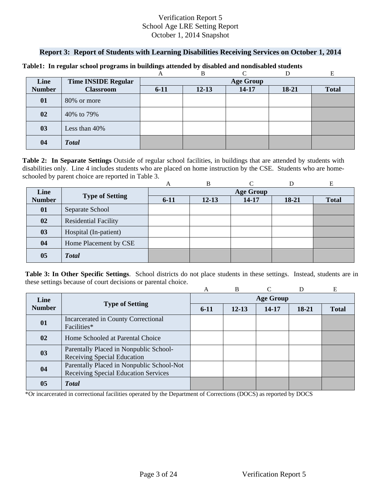### **Report 3: Report of Students with Learning Disabilities Receiving Services on October 1, 2014**

|               |                            |                  | B         | ⌒         |           |              |  |  |
|---------------|----------------------------|------------------|-----------|-----------|-----------|--------------|--|--|
| Line          | <b>Time INSIDE Regular</b> | <b>Age Group</b> |           |           |           |              |  |  |
| <b>Number</b> | <b>Classroom</b>           | $6 - 11$         | $12 - 13$ | $14 - 17$ | $18 - 21$ | <b>Total</b> |  |  |
| 01            | 80% or more                |                  |           |           |           |              |  |  |
| 02            | 40% to 79%                 |                  |           |           |           |              |  |  |
| 03            | Less than 40%              |                  |           |           |           |              |  |  |
| 04            | <b>Total</b>               |                  |           |           |           |              |  |  |

#### **Table1: In regular school programs in buildings attended by disabled and nondisabled students**

schooled by parent choice are reported in Table 3.<br>
A B C D E **Table 2: In Separate Settings** Outside of regular school facilities, in buildings that are attended by students with disabilities only. Line 4 includes students who are placed on home instruction by the CSE. Students who are home-

|                |                             | A                | B         |       |         | Е            |  |  |
|----------------|-----------------------------|------------------|-----------|-------|---------|--------------|--|--|
| Line           |                             | <b>Age Group</b> |           |       |         |              |  |  |
| <b>Number</b>  | <b>Type of Setting</b>      | $6-11$           | $12 - 13$ | 14-17 | $18-21$ | <b>Total</b> |  |  |
| 01             | Separate School             |                  |           |       |         |              |  |  |
| 02             | <b>Residential Facility</b> |                  |           |       |         |              |  |  |
| 03             | Hospital (In-patient)       |                  |           |       |         |              |  |  |
| 04             | Home Placement by CSE       |                  |           |       |         |              |  |  |
| 0 <sub>5</sub> | <b>Total</b>                |                  |           |       |         |              |  |  |

**Table 3: In Other Specific Settings**. School districts do not place students in these settings. Instead, students are in these settings because of court decisions or parental choice.

|               |                                                                                   | А                | <sub>B</sub> |       | D     | E            |  |  |
|---------------|-----------------------------------------------------------------------------------|------------------|--------------|-------|-------|--------------|--|--|
| Line          | <b>Type of Setting</b>                                                            | <b>Age Group</b> |              |       |       |              |  |  |
| <b>Number</b> |                                                                                   | $6-11$           | $12 - 13$    | 14-17 | 18-21 | <b>Total</b> |  |  |
| 01            | Incarcerated in County Correctional<br>Facilities*                                |                  |              |       |       |              |  |  |
| 02            | Home Schooled at Parental Choice                                                  |                  |              |       |       |              |  |  |
| 03            | Parentally Placed in Nonpublic School-<br>Receiving Special Education             |                  |              |       |       |              |  |  |
| 04            | Parentally Placed in Nonpublic School-Not<br>Receiving Special Education Services |                  |              |       |       |              |  |  |
| 05            | <b>T</b> otal                                                                     |                  |              |       |       |              |  |  |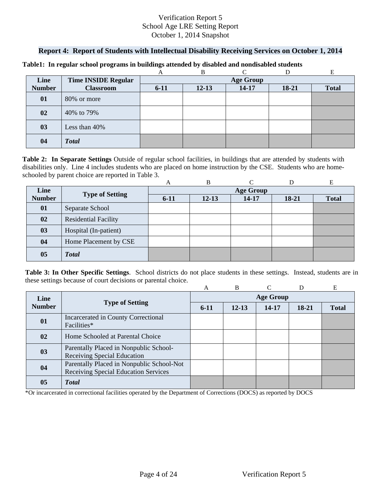## **Report 4: Report of Students with Intellectual Disability Receiving Services on October 1, 2014**

|               |                            |                  | В         |           |       |              |  |  |
|---------------|----------------------------|------------------|-----------|-----------|-------|--------------|--|--|
| Line          | <b>Time INSIDE Regular</b> | <b>Age Group</b> |           |           |       |              |  |  |
| <b>Number</b> | <b>Classroom</b>           | $6 - 11$         | $12 - 13$ | $14 - 17$ | 18-21 | <b>Total</b> |  |  |
| 01            | 80% or more                |                  |           |           |       |              |  |  |
| 02            | 40% to 79%                 |                  |           |           |       |              |  |  |
| 03            | Less than 40%              |                  |           |           |       |              |  |  |
| 04            | <b>Total</b>               |                  |           |           |       |              |  |  |

#### **Table1: In regular school programs in buildings attended by disabled and nondisabled students**

schooled by parent choice are reported in Table 3.<br>
A B C D E **Table 2: In Separate Settings** Outside of regular school facilities, in buildings that are attended by students with disabilities only. Line 4 includes students who are placed on home instruction by the CSE. Students who are home-

|                |                             | A                | B         |       |         | Е            |  |  |
|----------------|-----------------------------|------------------|-----------|-------|---------|--------------|--|--|
| Line           | <b>Type of Setting</b>      | <b>Age Group</b> |           |       |         |              |  |  |
| <b>Number</b>  |                             | $6 - 11$         | $12 - 13$ | 14-17 | $18-21$ | <b>Total</b> |  |  |
| 01             | Separate School             |                  |           |       |         |              |  |  |
| 02             | <b>Residential Facility</b> |                  |           |       |         |              |  |  |
| 03             | Hospital (In-patient)       |                  |           |       |         |              |  |  |
| 04             | Home Placement by CSE       |                  |           |       |         |              |  |  |
| 0 <sub>5</sub> | <b>Total</b>                |                  |           |       |         |              |  |  |

**Table 3: In Other Specific Settings**. School districts do not place students in these settings. Instead, students are in these settings because of court decisions or parental choice.

|               |                                                                                          | A                | B         |       | D       | E            |  |  |
|---------------|------------------------------------------------------------------------------------------|------------------|-----------|-------|---------|--------------|--|--|
| Line          | <b>Type of Setting</b>                                                                   | <b>Age Group</b> |           |       |         |              |  |  |
| <b>Number</b> |                                                                                          | $6-11$           | $12 - 13$ | 14-17 | $18-21$ | <b>Total</b> |  |  |
| 01            | Incarcerated in County Correctional<br>Facilities*                                       |                  |           |       |         |              |  |  |
| 02            | Home Schooled at Parental Choice                                                         |                  |           |       |         |              |  |  |
| 03            | Parentally Placed in Nonpublic School-<br><b>Receiving Special Education</b>             |                  |           |       |         |              |  |  |
| 04            | Parentally Placed in Nonpublic School-Not<br><b>Receiving Special Education Services</b> |                  |           |       |         |              |  |  |
| 05            | <b>Total</b>                                                                             |                  |           |       |         |              |  |  |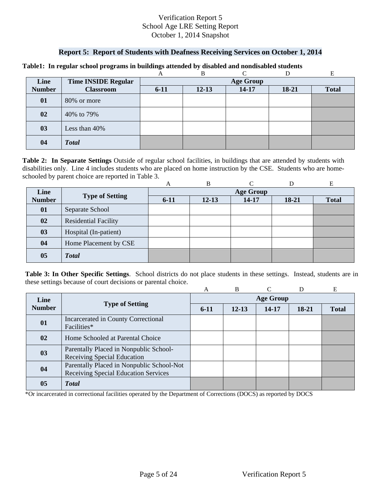### **Report 5: Report of Students with Deafness Receiving Services on October 1, 2014**

|               |                            |                  | В         |           |       | E            |  |  |
|---------------|----------------------------|------------------|-----------|-----------|-------|--------------|--|--|
| Line          | <b>Time INSIDE Regular</b> | <b>Age Group</b> |           |           |       |              |  |  |
| <b>Number</b> | <b>Classroom</b>           | $6 - 11$         | $12 - 13$ | $14 - 17$ | 18-21 | <b>Total</b> |  |  |
| 01            | 80% or more                |                  |           |           |       |              |  |  |
| 02            | 40% to 79%                 |                  |           |           |       |              |  |  |
| 03            | Less than 40%              |                  |           |           |       |              |  |  |
| 04            | <b>Total</b>               |                  |           |           |       |              |  |  |

#### **Table1: In regular school programs in buildings attended by disabled and nondisabled students**

schooled by parent choice are reported in Table 3.<br>
A B C D E **Table 2: In Separate Settings** Outside of regular school facilities, in buildings that are attended by students with disabilities only. Line 4 includes students who are placed on home instruction by the CSE. Students who are home-

|                |                             | A                | B         |       |         | Е            |  |  |
|----------------|-----------------------------|------------------|-----------|-------|---------|--------------|--|--|
| Line           |                             | <b>Age Group</b> |           |       |         |              |  |  |
| <b>Number</b>  | <b>Type of Setting</b>      | $6-11$           | $12 - 13$ | 14-17 | $18-21$ | <b>Total</b> |  |  |
| 01             | Separate School             |                  |           |       |         |              |  |  |
| 02             | <b>Residential Facility</b> |                  |           |       |         |              |  |  |
| 03             | Hospital (In-patient)       |                  |           |       |         |              |  |  |
| 04             | Home Placement by CSE       |                  |           |       |         |              |  |  |
| 0 <sub>5</sub> | <b>Total</b>                |                  |           |       |         |              |  |  |

**Table 3: In Other Specific Settings**. School districts do not place students in these settings. Instead, students are in these settings because of court decisions or parental choice.

|               |                                                                                   | А                | B         |       |         | E            |  |  |
|---------------|-----------------------------------------------------------------------------------|------------------|-----------|-------|---------|--------------|--|--|
| Line          |                                                                                   | <b>Age Group</b> |           |       |         |              |  |  |
| <b>Number</b> | <b>Type of Setting</b>                                                            | $6-11$           | $12 - 13$ | 14-17 | $18-21$ | <b>Total</b> |  |  |
| 01            | Incarcerated in County Correctional<br>Facilities*                                |                  |           |       |         |              |  |  |
| $\mathbf{02}$ | Home Schooled at Parental Choice                                                  |                  |           |       |         |              |  |  |
| 03            | Parentally Placed in Nonpublic School-<br>Receiving Special Education             |                  |           |       |         |              |  |  |
| 04            | Parentally Placed in Nonpublic School-Not<br>Receiving Special Education Services |                  |           |       |         |              |  |  |
| 05            | <b>T</b> otal                                                                     |                  |           |       |         |              |  |  |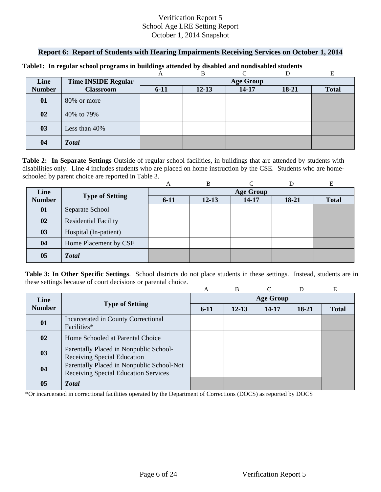### **Report 6: Report of Students with Hearing Impairments Receiving Services on October 1, 2014**

|               |                            |                  | B         | ⌒         |       |              |  |  |
|---------------|----------------------------|------------------|-----------|-----------|-------|--------------|--|--|
| Line          | <b>Time INSIDE Regular</b> | <b>Age Group</b> |           |           |       |              |  |  |
| <b>Number</b> | <b>Classroom</b>           | $6 - 11$         | $12 - 13$ | $14 - 17$ | 18-21 | <b>Total</b> |  |  |
| 01            | 80% or more                |                  |           |           |       |              |  |  |
| 02            | 40% to 79%                 |                  |           |           |       |              |  |  |
| 03            | Less than 40%              |                  |           |           |       |              |  |  |
| 04            | <b>Total</b>               |                  |           |           |       |              |  |  |

#### **Table1: In regular school programs in buildings attended by disabled and nondisabled students**

schooled by parent choice are reported in Table 3.<br>
A B C D E **Table 2: In Separate Settings** Outside of regular school facilities, in buildings that are attended by students with disabilities only. Line 4 includes students who are placed on home instruction by the CSE. Students who are home-

|                |                             | A                | B         |       |         | E            |  |  |
|----------------|-----------------------------|------------------|-----------|-------|---------|--------------|--|--|
| Line           |                             | <b>Age Group</b> |           |       |         |              |  |  |
| <b>Number</b>  | <b>Type of Setting</b>      | $6 - 11$         | $12 - 13$ | 14-17 | $18-21$ | <b>Total</b> |  |  |
| 01             | Separate School             |                  |           |       |         |              |  |  |
| 02             | <b>Residential Facility</b> |                  |           |       |         |              |  |  |
| 03             | Hospital (In-patient)       |                  |           |       |         |              |  |  |
| 04             | Home Placement by CSE       |                  |           |       |         |              |  |  |
| 0 <sub>5</sub> | <b>Total</b>                |                  |           |       |         |              |  |  |

**Table 3: In Other Specific Settings**. School districts do not place students in these settings. Instead, students are in these settings because of court decisions or parental choice.

|               |                                                                                   | A                | B         |       | D     | E            |  |  |
|---------------|-----------------------------------------------------------------------------------|------------------|-----------|-------|-------|--------------|--|--|
| Line          |                                                                                   | <b>Age Group</b> |           |       |       |              |  |  |
| <b>Number</b> | <b>Type of Setting</b>                                                            | $6-11$           | $12 - 13$ | 14-17 | 18-21 | <b>Total</b> |  |  |
| 01            | Incarcerated in County Correctional<br>Facilities*                                |                  |           |       |       |              |  |  |
| 02            | Home Schooled at Parental Choice                                                  |                  |           |       |       |              |  |  |
| 03            | Parentally Placed in Nonpublic School-<br>Receiving Special Education             |                  |           |       |       |              |  |  |
| 04            | Parentally Placed in Nonpublic School-Not<br>Receiving Special Education Services |                  |           |       |       |              |  |  |
| 05            | <b>T</b> otal                                                                     |                  |           |       |       |              |  |  |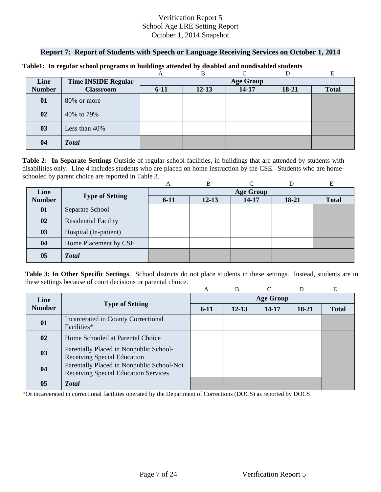### **Report 7: Report of Students with Speech or Language Receiving Services on October 1, 2014**

|               |                            |                  | B         | ⌒         |         |              |  |  |
|---------------|----------------------------|------------------|-----------|-----------|---------|--------------|--|--|
| Line          | <b>Time INSIDE Regular</b> | <b>Age Group</b> |           |           |         |              |  |  |
| <b>Number</b> | <b>Classroom</b>           | $6 - 11$         | $12 - 13$ | $14 - 17$ | $18-21$ | <b>Total</b> |  |  |
| 01            | 80% or more                |                  |           |           |         |              |  |  |
| 02            | 40% to 79%                 |                  |           |           |         |              |  |  |
| 03            | Less than 40%              |                  |           |           |         |              |  |  |
| 04            | <b>Total</b>               |                  |           |           |         |              |  |  |

#### **Table1: In regular school programs in buildings attended by disabled and nondisabled students**

schooled by parent choice are reported in Table 3.<br>
A B C D E **Table 2: In Separate Settings** Outside of regular school facilities, in buildings that are attended by students with disabilities only. Line 4 includes students who are placed on home instruction by the CSE. Students who are home-

|                |                             | A                | B         |       |         | Е            |  |  |
|----------------|-----------------------------|------------------|-----------|-------|---------|--------------|--|--|
| Line           |                             | <b>Age Group</b> |           |       |         |              |  |  |
| <b>Number</b>  | <b>Type of Setting</b>      | $6-11$           | $12 - 13$ | 14-17 | $18-21$ | <b>Total</b> |  |  |
| 01             | Separate School             |                  |           |       |         |              |  |  |
| 02             | <b>Residential Facility</b> |                  |           |       |         |              |  |  |
| 03             | Hospital (In-patient)       |                  |           |       |         |              |  |  |
| 04             | Home Placement by CSE       |                  |           |       |         |              |  |  |
| 0 <sub>5</sub> | <b>Total</b>                |                  |           |       |         |              |  |  |

**Table 3: In Other Specific Settings**. School districts do not place students in these settings. Instead, students are in these settings because of court decisions or parental choice.

|               |                                                                                   | A                | B         |       | D     | E            |  |  |
|---------------|-----------------------------------------------------------------------------------|------------------|-----------|-------|-------|--------------|--|--|
| Line          |                                                                                   | <b>Age Group</b> |           |       |       |              |  |  |
| <b>Number</b> | <b>Type of Setting</b>                                                            | $6-11$           | $12 - 13$ | 14-17 | 18-21 | <b>Total</b> |  |  |
| 01            | Incarcerated in County Correctional<br>Facilities*                                |                  |           |       |       |              |  |  |
| 02            | Home Schooled at Parental Choice                                                  |                  |           |       |       |              |  |  |
| 03            | Parentally Placed in Nonpublic School-<br>Receiving Special Education             |                  |           |       |       |              |  |  |
| 04            | Parentally Placed in Nonpublic School-Not<br>Receiving Special Education Services |                  |           |       |       |              |  |  |
| 05            | <b>T</b> otal                                                                     |                  |           |       |       |              |  |  |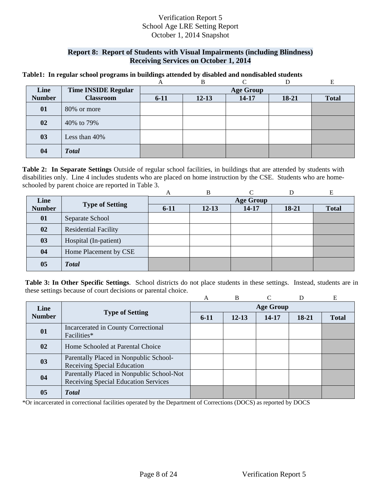## **Report 8: Report of Students with Visual Impairments (including Blindness) Receiving Services on October 1, 2014**

#### **Table1: In regular school programs in buildings attended by disabled and nondisabled students**

|               |                            |                  | В         |           |       | E            |  |  |
|---------------|----------------------------|------------------|-----------|-----------|-------|--------------|--|--|
| Line          | <b>Time INSIDE Regular</b> | <b>Age Group</b> |           |           |       |              |  |  |
| <b>Number</b> | <b>Classroom</b>           | $6 - 11$         | $12 - 13$ | $14 - 17$ | 18-21 | <b>Total</b> |  |  |
| 01            | 80% or more                |                  |           |           |       |              |  |  |
| 02            | 40% to 79%                 |                  |           |           |       |              |  |  |
| 03            | Less than 40%              |                  |           |           |       |              |  |  |
| 04            | <b>Total</b>               |                  |           |           |       |              |  |  |

 schooled by parent choice are reported in Table 3. **Table 2: In Separate Settings** Outside of regular school facilities, in buildings that are attended by students with disabilities only. Line 4 includes students who are placed on home instruction by the CSE. Students who are home-

|                |                             | А                | B         |       |         | E            |  |  |
|----------------|-----------------------------|------------------|-----------|-------|---------|--------------|--|--|
| Line           | <b>Type of Setting</b>      | <b>Age Group</b> |           |       |         |              |  |  |
| <b>Number</b>  |                             | $6 - 11$         | $12 - 13$ | 14-17 | $18-21$ | <b>Total</b> |  |  |
| 01             | Separate School             |                  |           |       |         |              |  |  |
| 02             | <b>Residential Facility</b> |                  |           |       |         |              |  |  |
| 03             | Hospital (In-patient)       |                  |           |       |         |              |  |  |
| 04             | Home Placement by CSE       |                  |           |       |         |              |  |  |
| 0 <sub>5</sub> | <b>Total</b>                |                  |           |       |         |              |  |  |

**Table 3: In Other Specific Settings**. School districts do not place students in these settings. Instead, students are in these settings because of court decisions or parental choice.

|               |                                                                                   | A                | B         |           | D     | Е            |  |  |
|---------------|-----------------------------------------------------------------------------------|------------------|-----------|-----------|-------|--------------|--|--|
| Line          |                                                                                   | <b>Age Group</b> |           |           |       |              |  |  |
| <b>Number</b> | <b>Type of Setting</b>                                                            | $6-11$           | $12 - 13$ | $14 - 17$ | 18-21 | <b>Total</b> |  |  |
| 01            | Incarcerated in County Correctional<br>Facilities*                                |                  |           |           |       |              |  |  |
| 02            | Home Schooled at Parental Choice                                                  |                  |           |           |       |              |  |  |
| 03            | Parentally Placed in Nonpublic School-<br>Receiving Special Education             |                  |           |           |       |              |  |  |
| 04            | Parentally Placed in Nonpublic School-Not<br>Receiving Special Education Services |                  |           |           |       |              |  |  |
| 05            | <b>T</b> otal                                                                     |                  |           |           |       |              |  |  |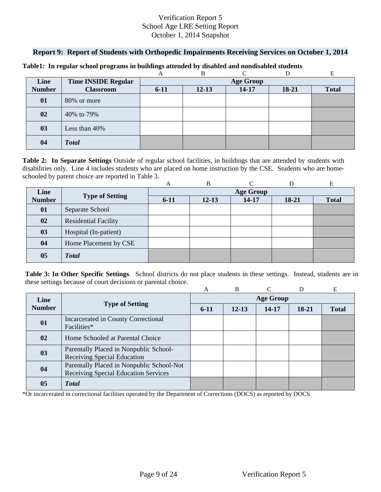### **Report 9: Report of Students with Orthopedic Impairments Receiving Services on October 1, 2014**

|               |                            |                  | B         | $\sqrt{ }$ |       |              |  |  |
|---------------|----------------------------|------------------|-----------|------------|-------|--------------|--|--|
| Line          | <b>Time INSIDE Regular</b> | <b>Age Group</b> |           |            |       |              |  |  |
| <b>Number</b> | <b>Classroom</b>           | $6 - 11$         | $12 - 13$ | $14 - 17$  | 18-21 | <b>Total</b> |  |  |
| 01            | 80% or more                |                  |           |            |       |              |  |  |
| 02            | 40% to 79%                 |                  |           |            |       |              |  |  |
| 03            | Less than 40%              |                  |           |            |       |              |  |  |
| 04            | <b>Total</b>               |                  |           |            |       |              |  |  |

#### **Table1: In regular school programs in buildings attended by disabled and nondisabled students**

schooled by parent choice are reported in Table 3.<br>
A B C D E **Table 2: In Separate Settings** Outside of regular school facilities, in buildings that are attended by students with disabilities only. Line 4 includes students who are placed on home instruction by the CSE. Students who are home-

|                |                             | A                | B         |       |         | E            |  |  |
|----------------|-----------------------------|------------------|-----------|-------|---------|--------------|--|--|
| Line           |                             | <b>Age Group</b> |           |       |         |              |  |  |
| <b>Number</b>  | <b>Type of Setting</b>      | $6 - 11$         | $12 - 13$ | 14-17 | $18-21$ | <b>Total</b> |  |  |
| 01             | Separate School             |                  |           |       |         |              |  |  |
| 02             | <b>Residential Facility</b> |                  |           |       |         |              |  |  |
| 03             | Hospital (In-patient)       |                  |           |       |         |              |  |  |
| 04             | Home Placement by CSE       |                  |           |       |         |              |  |  |
| 0 <sub>5</sub> | <b>Total</b>                |                  |           |       |         |              |  |  |

**Table 3: In Other Specific Settings**. School districts do not place students in these settings. Instead, students are in these settings because of court decisions or parental choice.

|               |                                                                                   | A                | B         |       | D     | E            |  |  |
|---------------|-----------------------------------------------------------------------------------|------------------|-----------|-------|-------|--------------|--|--|
| Line          |                                                                                   | <b>Age Group</b> |           |       |       |              |  |  |
| <b>Number</b> | <b>Type of Setting</b>                                                            | $6-11$           | $12 - 13$ | 14-17 | 18-21 | <b>Total</b> |  |  |
| 01            | Incarcerated in County Correctional<br>Facilities*                                |                  |           |       |       |              |  |  |
| 02            | Home Schooled at Parental Choice                                                  |                  |           |       |       |              |  |  |
| 03            | Parentally Placed in Nonpublic School-<br>Receiving Special Education             |                  |           |       |       |              |  |  |
| 04            | Parentally Placed in Nonpublic School-Not<br>Receiving Special Education Services |                  |           |       |       |              |  |  |
| 05            | <b>T</b> otal                                                                     |                  |           |       |       |              |  |  |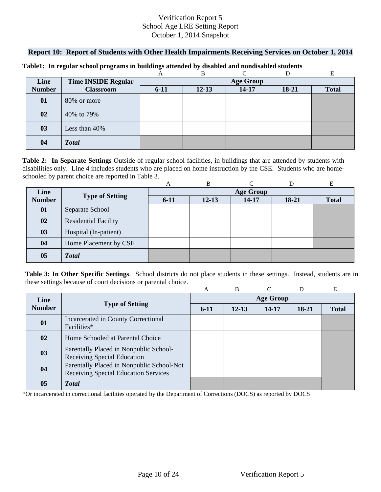### **Report 10: Report of Students with Other Health Impairments Receiving Services on October 1, 2014**

|               |                            |                  | B         | $\sqrt{ }$ |       |              |  |  |
|---------------|----------------------------|------------------|-----------|------------|-------|--------------|--|--|
| Line          | <b>Time INSIDE Regular</b> | <b>Age Group</b> |           |            |       |              |  |  |
| <b>Number</b> | <b>Classroom</b>           | $6 - 11$         | $12 - 13$ | $14 - 17$  | 18-21 | <b>Total</b> |  |  |
| 01            | 80% or more                |                  |           |            |       |              |  |  |
| 02            | 40% to 79%                 |                  |           |            |       |              |  |  |
| 03            | Less than 40%              |                  |           |            |       |              |  |  |
| 04            | <b>Total</b>               |                  |           |            |       |              |  |  |

#### **Table1: In regular school programs in buildings attended by disabled and nondisabled students**

schooled by parent choice are reported in Table 3.<br>
A B C D E **Table 2: In Separate Settings** Outside of regular school facilities, in buildings that are attended by students with disabilities only. Line 4 includes students who are placed on home instruction by the CSE. Students who are home-

|                |                             | A      | B         |                  |         | Е            |
|----------------|-----------------------------|--------|-----------|------------------|---------|--------------|
| Line           |                             |        |           | <b>Age Group</b> |         |              |
| <b>Number</b>  | <b>Type of Setting</b>      | $6-11$ | $12 - 13$ | 14-17            | $18-21$ | <b>Total</b> |
| 01             | Separate School             |        |           |                  |         |              |
| 02             | <b>Residential Facility</b> |        |           |                  |         |              |
| 03             | Hospital (In-patient)       |        |           |                  |         |              |
| 04             | Home Placement by CSE       |        |           |                  |         |              |
| 0 <sub>5</sub> | <b>Total</b>                |        |           |                  |         |              |

**Table 3: In Other Specific Settings**. School districts do not place students in these settings. Instead, students are in these settings because of court decisions or parental choice.

|               |                                                                                   | A                | B         |       | D     | E            |  |  |
|---------------|-----------------------------------------------------------------------------------|------------------|-----------|-------|-------|--------------|--|--|
| Line          |                                                                                   | <b>Age Group</b> |           |       |       |              |  |  |
| <b>Number</b> | <b>Type of Setting</b>                                                            | $6-11$           | $12 - 13$ | 14-17 | 18-21 | <b>Total</b> |  |  |
| 01            | Incarcerated in County Correctional<br>Facilities*                                |                  |           |       |       |              |  |  |
| 02            | Home Schooled at Parental Choice                                                  |                  |           |       |       |              |  |  |
| 03            | Parentally Placed in Nonpublic School-<br>Receiving Special Education             |                  |           |       |       |              |  |  |
| 04            | Parentally Placed in Nonpublic School-Not<br>Receiving Special Education Services |                  |           |       |       |              |  |  |
| 05            | <b>T</b> otal                                                                     |                  |           |       |       |              |  |  |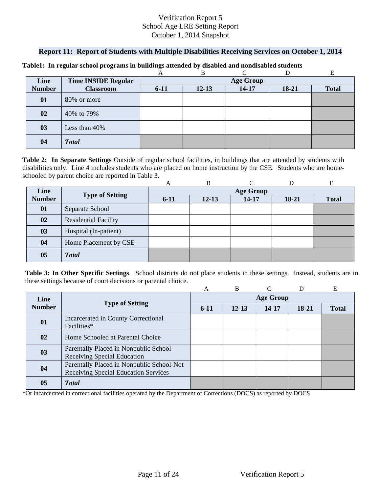## **Report 11: Report of Students with Multiple Disabilities Receiving Services on October 1, 2014**

|               |                            |          | B                | ⌒         |         |              |  |  |  |
|---------------|----------------------------|----------|------------------|-----------|---------|--------------|--|--|--|
| Line          | <b>Time INSIDE Regular</b> |          | <b>Age Group</b> |           |         |              |  |  |  |
| <b>Number</b> | <b>Classroom</b>           | $6 - 11$ | $12 - 13$        | $14 - 17$ | $18-21$ | <b>Total</b> |  |  |  |
| 01            | 80% or more                |          |                  |           |         |              |  |  |  |
| 02            | 40% to 79%                 |          |                  |           |         |              |  |  |  |
| 03            | Less than 40%              |          |                  |           |         |              |  |  |  |
| 04            | <b>Total</b>               |          |                  |           |         |              |  |  |  |

#### **Table1: In regular school programs in buildings attended by disabled and nondisabled students**

schooled by parent choice are reported in Table 3.<br>
A B C D E **Table 2: In Separate Settings** Outside of regular school facilities, in buildings that are attended by students with disabilities only. Line 4 includes students who are placed on home instruction by the CSE. Students who are home-

|               |                             | A        | B         |                  |         | Е            |
|---------------|-----------------------------|----------|-----------|------------------|---------|--------------|
| Line          |                             |          |           | <b>Age Group</b> |         |              |
| <b>Number</b> | <b>Type of Setting</b>      | $6 - 11$ | $12 - 13$ | 14-17            | $18-21$ | <b>Total</b> |
| 01            | Separate School             |          |           |                  |         |              |
| 02            | <b>Residential Facility</b> |          |           |                  |         |              |
| 03            | Hospital (In-patient)       |          |           |                  |         |              |
| 04            | Home Placement by CSE       |          |           |                  |         |              |
| 05            | <b>Total</b>                |          |           |                  |         |              |

**Table 3: In Other Specific Settings**. School districts do not place students in these settings. Instead, students are in these settings because of court decisions or parental choice.

|               |                                                                                   | A                | B         |           |       | E            |  |  |
|---------------|-----------------------------------------------------------------------------------|------------------|-----------|-----------|-------|--------------|--|--|
| Line          |                                                                                   | <b>Age Group</b> |           |           |       |              |  |  |
| <b>Number</b> | <b>Type of Setting</b>                                                            | $6-11$           | $12 - 13$ | $14 - 17$ | 18-21 | <b>Total</b> |  |  |
| 01            | Incarcerated in County Correctional<br>Facilities*                                |                  |           |           |       |              |  |  |
| 02            | Home Schooled at Parental Choice                                                  |                  |           |           |       |              |  |  |
| 03            | Parentally Placed in Nonpublic School-<br>Receiving Special Education             |                  |           |           |       |              |  |  |
| 04            | Parentally Placed in Nonpublic School-Not<br>Receiving Special Education Services |                  |           |           |       |              |  |  |
| 05            | <b>T</b> otal                                                                     |                  |           |           |       |              |  |  |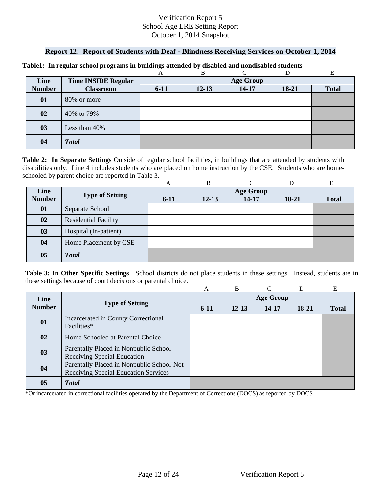### **Report 12: Report of Students with Deaf - Blindness Receiving Services on October 1, 2014**

|               |                            |                  | B         |           |       |              |  |  |
|---------------|----------------------------|------------------|-----------|-----------|-------|--------------|--|--|
| Line          | <b>Time INSIDE Regular</b> | <b>Age Group</b> |           |           |       |              |  |  |
| <b>Number</b> | <b>Classroom</b>           | $6 - 11$         | $12 - 13$ | $14 - 17$ | 18-21 | <b>Total</b> |  |  |
| 01            | 80% or more                |                  |           |           |       |              |  |  |
| 02            | 40% to 79%                 |                  |           |           |       |              |  |  |
| 03            | Less than 40%              |                  |           |           |       |              |  |  |
| 04            | <b>Total</b>               |                  |           |           |       |              |  |  |

#### **Table1: In regular school programs in buildings attended by disabled and nondisabled students**

schooled by parent choice are reported in Table 3.<br>
A B C D E **Table 2: In Separate Settings** Outside of regular school facilities, in buildings that are attended by students with disabilities only. Line 4 includes students who are placed on home instruction by the CSE. Students who are home-

|                |                             | A        | B         |                  |         | Е            |
|----------------|-----------------------------|----------|-----------|------------------|---------|--------------|
| Line           |                             |          |           | <b>Age Group</b> |         |              |
| <b>Number</b>  | <b>Type of Setting</b>      | $6 - 11$ | $12 - 13$ | 14-17            | $18-21$ | <b>Total</b> |
| 01             | Separate School             |          |           |                  |         |              |
| 02             | <b>Residential Facility</b> |          |           |                  |         |              |
| 03             | Hospital (In-patient)       |          |           |                  |         |              |
| 04             | Home Placement by CSE       |          |           |                  |         |              |
| 0 <sub>5</sub> | <b>Total</b>                |          |           |                  |         |              |

**Table 3: In Other Specific Settings**. School districts do not place students in these settings. Instead, students are in these settings because of court decisions or parental choice.

|               |                                                                                   | A                | B         |       |       | E            |  |  |
|---------------|-----------------------------------------------------------------------------------|------------------|-----------|-------|-------|--------------|--|--|
| Line          | <b>Type of Setting</b>                                                            | <b>Age Group</b> |           |       |       |              |  |  |
| <b>Number</b> |                                                                                   | $6-11$           | $12 - 13$ | 14-17 | 18-21 | <b>Total</b> |  |  |
| 01            | Incarcerated in County Correctional<br>Facilities*                                |                  |           |       |       |              |  |  |
| 02            | Home Schooled at Parental Choice                                                  |                  |           |       |       |              |  |  |
| 03            | Parentally Placed in Nonpublic School-<br><b>Receiving Special Education</b>      |                  |           |       |       |              |  |  |
| 04            | Parentally Placed in Nonpublic School-Not<br>Receiving Special Education Services |                  |           |       |       |              |  |  |
| 05            | <b>Total</b>                                                                      |                  |           |       |       |              |  |  |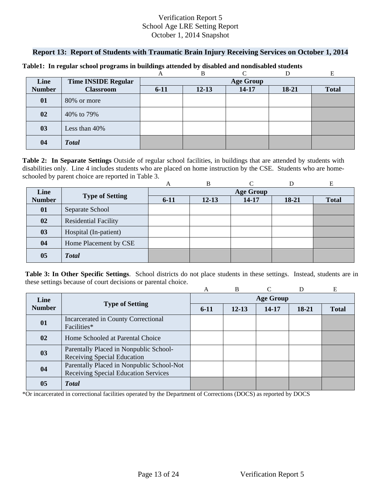### **Report 13: Report of Students with Traumatic Brain Injury Receiving Services on October 1, 2014**

|               |                            |          | B         | ⌒                |       |              |
|---------------|----------------------------|----------|-----------|------------------|-------|--------------|
| Line          | <b>Time INSIDE Regular</b> |          |           | <b>Age Group</b> |       |              |
| <b>Number</b> | <b>Classroom</b>           | $6 - 11$ | $12 - 13$ | $14 - 17$        | 18-21 | <b>Total</b> |
| 01            | 80% or more                |          |           |                  |       |              |
| 02            | 40% to 79%                 |          |           |                  |       |              |
| 03            | Less than 40%              |          |           |                  |       |              |
| 04            | <b>Total</b>               |          |           |                  |       |              |

#### **Table1: In regular school programs in buildings attended by disabled and nondisabled students**

schooled by parent choice are reported in Table 3.<br>
A B C D E **Table 2: In Separate Settings** Outside of regular school facilities, in buildings that are attended by students with disabilities only. Line 4 includes students who are placed on home instruction by the CSE. Students who are home-

|                |                             | A        | B         |                  |         | E            |
|----------------|-----------------------------|----------|-----------|------------------|---------|--------------|
| Line           |                             |          |           | <b>Age Group</b> |         |              |
| <b>Number</b>  | <b>Type of Setting</b>      | $6 - 11$ | $12 - 13$ | 14-17            | $18-21$ | <b>Total</b> |
| 01             | Separate School             |          |           |                  |         |              |
| 02             | <b>Residential Facility</b> |          |           |                  |         |              |
| 03             | Hospital (In-patient)       |          |           |                  |         |              |
| 04             | Home Placement by CSE       |          |           |                  |         |              |
| 0 <sub>5</sub> | <b>Total</b>                |          |           |                  |         |              |

**Table 3: In Other Specific Settings**. School districts do not place students in these settings. Instead, students are in these settings because of court decisions or parental choice.

|               |                                                    | A                | B         |       | D     | E            |  |  |  |  |  |
|---------------|----------------------------------------------------|------------------|-----------|-------|-------|--------------|--|--|--|--|--|
| Line          |                                                    | <b>Age Group</b> |           |       |       |              |  |  |  |  |  |
| <b>Number</b> | <b>Type of Setting</b>                             | $6-11$           | $12 - 13$ | 14-17 | 18-21 | <b>Total</b> |  |  |  |  |  |
| 01            | Incarcerated in County Correctional<br>Facilities* |                  |           |       |       |              |  |  |  |  |  |
|               |                                                    |                  |           |       |       |              |  |  |  |  |  |
| 02            | Home Schooled at Parental Choice                   |                  |           |       |       |              |  |  |  |  |  |
| 03            | Parentally Placed in Nonpublic School-             |                  |           |       |       |              |  |  |  |  |  |
|               | Receiving Special Education                        |                  |           |       |       |              |  |  |  |  |  |
| 04            | Parentally Placed in Nonpublic School-Not          |                  |           |       |       |              |  |  |  |  |  |
|               | Receiving Special Education Services               |                  |           |       |       |              |  |  |  |  |  |
| 05            | <b>T</b> otal                                      |                  |           |       |       |              |  |  |  |  |  |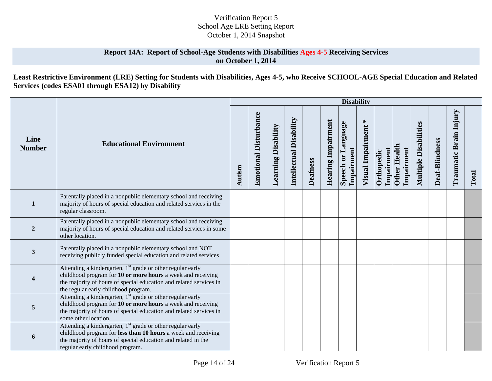### **Report 14A: Report of School-Age Students with Disabilities Ages 4-5 Receiving Services on October 1, 2014**

**Least Restrictive Environment (LRE) Setting for Students with Disabilities, Ages 4-5, who Receive SCHOOL-AGE Special Education and Related Services (codes ESA01 through ESA12) by Disability** 

|                         |                                                                                                                                                                                                                                                     |        |                              |                            |                                |                 |                           | <b>Disability</b>                |                             |                          |                                   |                              |                |                        |       |
|-------------------------|-----------------------------------------------------------------------------------------------------------------------------------------------------------------------------------------------------------------------------------------------------|--------|------------------------------|----------------------------|--------------------------------|-----------------|---------------------------|----------------------------------|-----------------------------|--------------------------|-----------------------------------|------------------------------|----------------|------------------------|-------|
| Line<br><b>Number</b>   | <b>Educational Environment</b>                                                                                                                                                                                                                      | Autism | <b>Emotional Disturbance</b> | <b>Learning Disability</b> | <b>Intellectual Disability</b> | <b>Deafness</b> | <b>Hearing Impairment</b> | Speech or Language<br>Impairment | $\ast$<br>Visual Impairment | Impairment<br>Orthopedic | <b>Other Health</b><br>Impairment | <b>Multiple Disabilities</b> | Deaf-Blindness | Traumatic Brain Injury | Total |
| $\mathbf{1}$            | Parentally placed in a nonpublic elementary school and receiving<br>majority of hours of special education and related services in the<br>regular classroom.                                                                                        |        |                              |                            |                                |                 |                           |                                  |                             |                          |                                   |                              |                |                        |       |
| $\overline{2}$          | Parentally placed in a nonpublic elementary school and receiving<br>majority of hours of special education and related services in some<br>other location.                                                                                          |        |                              |                            |                                |                 |                           |                                  |                             |                          |                                   |                              |                |                        |       |
| 3                       | Parentally placed in a nonpublic elementary school and NOT<br>receiving publicly funded special education and related services                                                                                                                      |        |                              |                            |                                |                 |                           |                                  |                             |                          |                                   |                              |                |                        |       |
| $\overline{\mathbf{4}}$ | Attending a kindergarten, 1 <sup>st</sup> grade or other regular early<br>childhood program for 10 or more hours a week and receiving<br>the majority of hours of special education and related services in<br>the regular early childhood program. |        |                              |                            |                                |                 |                           |                                  |                             |                          |                                   |                              |                |                        |       |
| 5                       | Attending a kindergarten, 1 <sup>st</sup> grade or other regular early<br>childhood program for 10 or more hours a week and receiving<br>the majority of hours of special education and related services in<br>some other location.                 |        |                              |                            |                                |                 |                           |                                  |                             |                          |                                   |                              |                |                        |       |
| 6                       | Attending a kindergarten, 1 <sup>st</sup> grade or other regular early<br>childhood program for less than 10 hours a week and receiving<br>the majority of hours of special education and related in the<br>regular early childhood program.        |        |                              |                            |                                |                 |                           |                                  |                             |                          |                                   |                              |                |                        |       |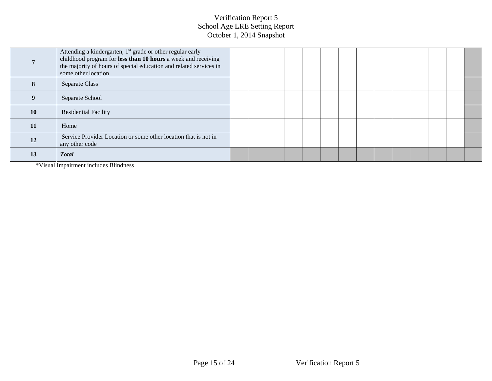|           | Attending a kindergarten, 1 <sup>st</sup> grade or other regular early<br>childhood program for less than 10 hours a week and receiving<br>the majority of hours of special education and related services in<br>some other location |  |  |  |  |  |  |  |
|-----------|--------------------------------------------------------------------------------------------------------------------------------------------------------------------------------------------------------------------------------------|--|--|--|--|--|--|--|
| 8         | Separate Class                                                                                                                                                                                                                       |  |  |  |  |  |  |  |
|           | Separate School                                                                                                                                                                                                                      |  |  |  |  |  |  |  |
| <b>10</b> | <b>Residential Facility</b>                                                                                                                                                                                                          |  |  |  |  |  |  |  |
| 11        | Home                                                                                                                                                                                                                                 |  |  |  |  |  |  |  |
| 12        | Service Provider Location or some other location that is not in<br>any other code                                                                                                                                                    |  |  |  |  |  |  |  |
| 13        | <b>Total</b>                                                                                                                                                                                                                         |  |  |  |  |  |  |  |

\*Visual Impairment includes Blindness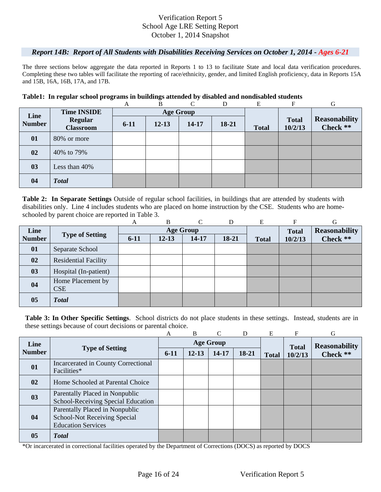### *Report 14B: Report of All Students with Disabilities Receiving Services on October 1, 2014 - Ages 6-21*

The three sections below aggregate the data reported in Reports 1 to 13 to facilitate State and local data verification procedures. Completing these two tables will facilitate the reporting of race/ethnicity, gender, and limited English proficiency, data in Reports 15A and 15B, 16A, 16B, 17A, and 17B.

#### **Table1: In regular school programs in buildings attended by disabled and nondisabled students**

|               |                                    | A      | B         | $\Gamma$         | D     | E            | F                       | G                                |
|---------------|------------------------------------|--------|-----------|------------------|-------|--------------|-------------------------|----------------------------------|
| Line          | <b>Time INSIDE</b>                 |        |           | <b>Age Group</b> |       |              |                         |                                  |
| <b>Number</b> | <b>Regular</b><br><b>Classroom</b> | $6-11$ | $12 - 13$ | 14-17            | 18-21 | <b>Total</b> | <b>Total</b><br>10/2/13 | <b>Reasonability</b><br>Check ** |
| 01            | 80% or more                        |        |           |                  |       |              |                         |                                  |
| 02            | 40% to 79%                         |        |           |                  |       |              |                         |                                  |
| 03            | Less than $40\%$                   |        |           |                  |       |              |                         |                                  |
| 04            | <b>Total</b>                       |        |           |                  |       |              |                         |                                  |

schooled by parent choice are reported in Table 3.<br>
A B C D E F G **Table 2: In Separate Settings** Outside of regular school facilities, in buildings that are attended by students with disabilities only. Line 4 includes students who are placed on home instruction by the CSE. Students who are home-

|               |                                 | А        | B         | $\curvearrowright$ | D     | Е            | F            | G                    |
|---------------|---------------------------------|----------|-----------|--------------------|-------|--------------|--------------|----------------------|
| Line          |                                 |          |           | <b>Age Group</b>   |       |              | <b>Total</b> | <b>Reasonability</b> |
| <b>Number</b> | <b>Type of Setting</b>          | $6 - 11$ | $12 - 13$ | 14-17              | 18-21 | <b>Total</b> | 10/2/13      | Check **             |
| 01            | Separate School                 |          |           |                    |       |              |              |                      |
| 02            | <b>Residential Facility</b>     |          |           |                    |       |              |              |                      |
| 03            | Hospital (In-patient)           |          |           |                    |       |              |              |                      |
| 04            | Home Placement by<br><b>CSE</b> |          |           |                    |       |              |              |                      |
|               |                                 |          |           |                    |       |              |              |                      |
| 05            | <b>Total</b>                    |          |           |                    |       |              |              |                      |

**Table 3: In Other Specific Settings**. School districts do not place students in these settings. Instead, students are in these settings because of court decisions or parental choice.

|               |                                                                                                    | A      | B         | $\mathcal{C}$    | D     | E            | F            | G                    |
|---------------|----------------------------------------------------------------------------------------------------|--------|-----------|------------------|-------|--------------|--------------|----------------------|
| Line          |                                                                                                    |        |           | <b>Age Group</b> |       |              | <b>Total</b> | <b>Reasonability</b> |
| <b>Number</b> | <b>Type of Setting</b>                                                                             | $6-11$ | $12 - 13$ | 14-17            | 18-21 | <b>Total</b> | 10/2/13      | Check **             |
| 01            | Incarcerated in County Correctional<br>Facilities*                                                 |        |           |                  |       |              |              |                      |
| 02            | Home Schooled at Parental Choice                                                                   |        |           |                  |       |              |              |                      |
| 03            | Parentally Placed in Nonpublic<br>School-Receiving Special Education                               |        |           |                  |       |              |              |                      |
| 04            | Parentally Placed in Nonpublic<br><b>School-Not Receiving Special</b><br><b>Education Services</b> |        |           |                  |       |              |              |                      |
| 05            | <b>T</b> otal                                                                                      |        |           |                  |       |              |              |                      |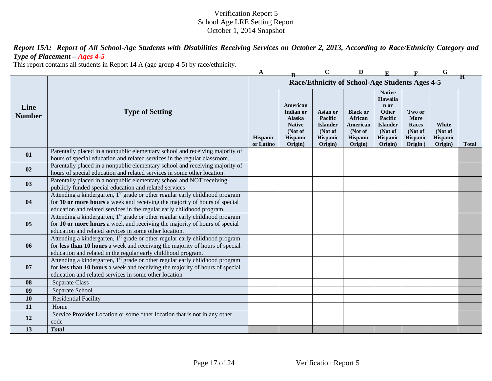*Report 15A: Report of All School-Age Students with Disabilities Receiving Services on October 2, 2013, According to Race/Ethnicity Category and Type of Placement – Ages 4-5* 

This report contains all students in Report 14 A (age group 4-5) by race/ethnicity.

|                       |                                                                                                                                                                                                                                                  | A                     |                                                                                    | $\mathbf C$                                                              | D                                                                               |                                                                                                           |                                                           | G                                              |              |
|-----------------------|--------------------------------------------------------------------------------------------------------------------------------------------------------------------------------------------------------------------------------------------------|-----------------------|------------------------------------------------------------------------------------|--------------------------------------------------------------------------|---------------------------------------------------------------------------------|-----------------------------------------------------------------------------------------------------------|-----------------------------------------------------------|------------------------------------------------|--------------|
|                       |                                                                                                                                                                                                                                                  |                       |                                                                                    |                                                                          | Race/Ethnicity of School-Age Students Ages 4-5                                  |                                                                                                           |                                                           |                                                | Ħ            |
| Line<br><b>Number</b> | <b>Type of Setting</b>                                                                                                                                                                                                                           | Hispanic<br>or Latino | American<br>Indian or<br>Alaska<br><b>Native</b><br>(Not of<br>Hispanic<br>Origin) | Asian or<br>Pacific<br><b>Islander</b><br>(Not of<br>Hispanic<br>Origin) | <b>Black or</b><br>African<br>American<br>(Not of<br><b>Hispanic</b><br>Origin) | <b>Native</b><br>Hawaiia<br>n or<br>Other<br>Pacific<br><b>Islander</b><br>(Not of<br>Hispanic<br>Origin) | Two or<br>More<br>Races<br>(Not of<br>Hispanic<br>Origin) | White<br>(Not of<br><b>Hispanic</b><br>Origin) | <b>Total</b> |
| 01                    | Parentally placed in a nonpublic elementary school and receiving majority of<br>hours of special education and related services in the regular classroom.                                                                                        |                       |                                                                                    |                                                                          |                                                                                 |                                                                                                           |                                                           |                                                |              |
| 02                    | Parentally placed in a nonpublic elementary school and receiving majority of<br>hours of special education and related services in some other location.                                                                                          |                       |                                                                                    |                                                                          |                                                                                 |                                                                                                           |                                                           |                                                |              |
| 0 <sub>3</sub>        | Parentally placed in a nonpublic elementary school and NOT receiving<br>publicly funded special education and related services                                                                                                                   |                       |                                                                                    |                                                                          |                                                                                 |                                                                                                           |                                                           |                                                |              |
| 04                    | Attending a kindergarten, 1 <sup>st</sup> grade or other regular early childhood program<br>for 10 or more hours a week and receiving the majority of hours of special<br>education and related services in the regular early childhood program. |                       |                                                                                    |                                                                          |                                                                                 |                                                                                                           |                                                           |                                                |              |
| 05                    | Attending a kindergarten, 1 <sup>st</sup> grade or other regular early childhood program<br>for 10 or more hours a week and receiving the majority of hours of special<br>education and related services in some other location.                 |                       |                                                                                    |                                                                          |                                                                                 |                                                                                                           |                                                           |                                                |              |
| 06                    | Attending a kindergarten, 1 <sup>st</sup> grade or other regular early childhood program<br>for less than 10 hours a week and receiving the majority of hours of special<br>education and related in the regular early childhood program.        |                       |                                                                                    |                                                                          |                                                                                 |                                                                                                           |                                                           |                                                |              |
| 07                    | Attending a kindergarten, 1 <sup>st</sup> grade or other regular early childhood program<br>for less than 10 hours a week and receiving the majority of hours of special<br>education and related services in some other location                |                       |                                                                                    |                                                                          |                                                                                 |                                                                                                           |                                                           |                                                |              |
| 08                    | Separate Class                                                                                                                                                                                                                                   |                       |                                                                                    |                                                                          |                                                                                 |                                                                                                           |                                                           |                                                |              |
| 09                    | Separate School                                                                                                                                                                                                                                  |                       |                                                                                    |                                                                          |                                                                                 |                                                                                                           |                                                           |                                                |              |
| 10                    | <b>Residential Facility</b>                                                                                                                                                                                                                      |                       |                                                                                    |                                                                          |                                                                                 |                                                                                                           |                                                           |                                                |              |
| 11                    | Home                                                                                                                                                                                                                                             |                       |                                                                                    |                                                                          |                                                                                 |                                                                                                           |                                                           |                                                |              |
| 12                    | Service Provider Location or some other location that is not in any other<br>code                                                                                                                                                                |                       |                                                                                    |                                                                          |                                                                                 |                                                                                                           |                                                           |                                                |              |
| 13                    | <b>Total</b>                                                                                                                                                                                                                                     |                       |                                                                                    |                                                                          |                                                                                 |                                                                                                           |                                                           |                                                |              |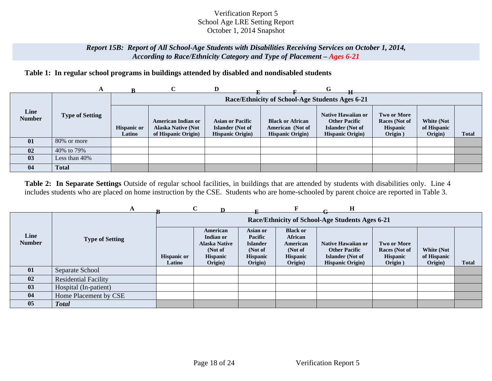### *Report 15B: Report of All School-Age Students with Disabilities Receiving Services on October 1, 2014, According to Race/Ethnicity Category and Type of Placement – Ages 6-21*

## **Table 1: In regular school programs in buildings attended by disabled and nondisabled students**

|                       | A                      |                              |                                                                               | D                                                                       |                                                                         | G                                                                                                 |                                                            |                                             |              |
|-----------------------|------------------------|------------------------------|-------------------------------------------------------------------------------|-------------------------------------------------------------------------|-------------------------------------------------------------------------|---------------------------------------------------------------------------------------------------|------------------------------------------------------------|---------------------------------------------|--------------|
|                       |                        |                              |                                                                               |                                                                         | Race/Ethnicity of School-Age Students Ages 6-21                         |                                                                                                   |                                                            |                                             |              |
| Line<br><b>Number</b> | <b>Type of Setting</b> | <b>Hispanic or</b><br>Latino | <b>American Indian or</b><br><b>Alaska Native (Not</b><br>of Hispanic Origin) | <b>Asian or Pacific</b><br>Islander (Not of<br><b>Hispanic Origin</b> ) | <b>Black or African</b><br>American (Not of<br><b>Hispanic Origin</b> ) | <b>Native Hawaiian or</b><br><b>Other Pacific</b><br>Islander (Not of<br><b>Hispanic Origin</b> ) | Two or More<br>Races (Not of<br><b>Hispanic</b><br>Origin) | <b>White (Not</b><br>of Hispanic<br>Origin) | <b>Total</b> |
| 01                    | 80% or more            |                              |                                                                               |                                                                         |                                                                         |                                                                                                   |                                                            |                                             |              |
| 02                    | 40% to 79%             |                              |                                                                               |                                                                         |                                                                         |                                                                                                   |                                                            |                                             |              |
| 03                    | Less than 40%          |                              |                                                                               |                                                                         |                                                                         |                                                                                                   |                                                            |                                             |              |
| 04                    | <b>Total</b>           |                              |                                                                               |                                                                         |                                                                         |                                                                                                   |                                                            |                                             |              |

**Table 2: In Separate Settings** Outside of regular school facilities, in buildings that are attended by students with disabilities only. Line 4 includes students who are placed on home instruction by the CSE. Students who are home-schooled by parent choice are reported in Table 3.

|                       |                             |                              | $\mathbf C$                                                                     |                                                                                 |                                                                                 | н                                                                                                 |                                                                   |                                      |       |
|-----------------------|-----------------------------|------------------------------|---------------------------------------------------------------------------------|---------------------------------------------------------------------------------|---------------------------------------------------------------------------------|---------------------------------------------------------------------------------------------------|-------------------------------------------------------------------|--------------------------------------|-------|
|                       |                             |                              |                                                                                 |                                                                                 |                                                                                 | Race/Ethnicity of School-Age Students Ages 6-21                                                   |                                                                   |                                      |       |
| Line<br><b>Number</b> | <b>Type of Setting</b>      | <b>Hispanic or</b><br>Latino | American<br>Indian or<br><b>Alaska Native</b><br>(Not of<br>Hispanic<br>Origin) | Asian or<br>Pacific<br><b>Islander</b><br>(Not of<br><b>Hispanic</b><br>Origin) | <b>Black or</b><br>African<br>American<br>(Not of<br><b>Hispanic</b><br>Origin) | Native Hawaiian or<br><b>Other Pacific</b><br><b>Islander</b> (Not of<br><b>Hispanic Origin</b> ) | <b>Two or More</b><br>Races (Not of<br><b>Hispanic</b><br>Origin) | White (Not<br>of Hispanic<br>Origin) | Total |
| 01                    | Separate School             |                              |                                                                                 |                                                                                 |                                                                                 |                                                                                                   |                                                                   |                                      |       |
| 02                    | <b>Residential Facility</b> |                              |                                                                                 |                                                                                 |                                                                                 |                                                                                                   |                                                                   |                                      |       |
| 03                    | Hospital (In-patient)       |                              |                                                                                 |                                                                                 |                                                                                 |                                                                                                   |                                                                   |                                      |       |
| 04                    | Home Placement by CSE       |                              |                                                                                 |                                                                                 |                                                                                 |                                                                                                   |                                                                   |                                      |       |
| 05                    | <b>Total</b>                |                              |                                                                                 |                                                                                 |                                                                                 |                                                                                                   |                                                                   |                                      |       |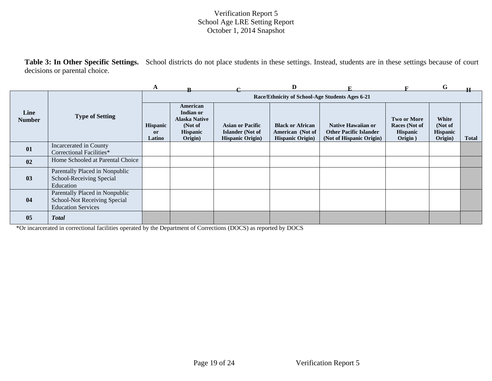**Table 3: In Other Specific Settings.** School districts do not place students in these settings. Instead, students are in these settings because of court decisions or parental choice.

|                       |                                                                                             | A                               |                                                                                        |                                                                                | D                                                                      |                                                                                        |                                                                   | G                                              |              |
|-----------------------|---------------------------------------------------------------------------------------------|---------------------------------|----------------------------------------------------------------------------------------|--------------------------------------------------------------------------------|------------------------------------------------------------------------|----------------------------------------------------------------------------------------|-------------------------------------------------------------------|------------------------------------------------|--------------|
|                       |                                                                                             |                                 |                                                                                        |                                                                                |                                                                        | Race/Ethnicity of School-Age Students Ages 6-21                                        |                                                                   |                                                |              |
| Line<br><b>Number</b> | <b>Type of Setting</b>                                                                      | <b>Hispanic</b><br>or<br>Latino | American<br>Indian or<br><b>Alaska Native</b><br>(Not of<br><b>Hispanic</b><br>Origin) | <b>Asian or Pacific</b><br><b>Islander</b> (Not of<br><b>Hispanic Origin</b> ) | <b>Black or African</b><br>American (Not of<br><b>Hispanic Origin)</b> | <b>Native Hawaiian or</b><br><b>Other Pacific Islander</b><br>(Not of Hispanic Origin) | <b>Two or More</b><br>Races (Not of<br><b>Hispanic</b><br>Origin) | White<br>(Not of<br><b>Hispanic</b><br>Origin) | <b>Total</b> |
| 01                    | Incarcerated in County<br>Correctional Facilities*                                          |                                 |                                                                                        |                                                                                |                                                                        |                                                                                        |                                                                   |                                                |              |
| 02                    | Home Schooled at Parental Choice                                                            |                                 |                                                                                        |                                                                                |                                                                        |                                                                                        |                                                                   |                                                |              |
| 03                    | Parentally Placed in Nonpublic<br>School-Receiving Special<br>Education                     |                                 |                                                                                        |                                                                                |                                                                        |                                                                                        |                                                                   |                                                |              |
| 04                    | Parentally Placed in Nonpublic<br>School-Not Receiving Special<br><b>Education Services</b> |                                 |                                                                                        |                                                                                |                                                                        |                                                                                        |                                                                   |                                                |              |
| 05                    | <b>Total</b>                                                                                |                                 |                                                                                        |                                                                                |                                                                        |                                                                                        |                                                                   |                                                |              |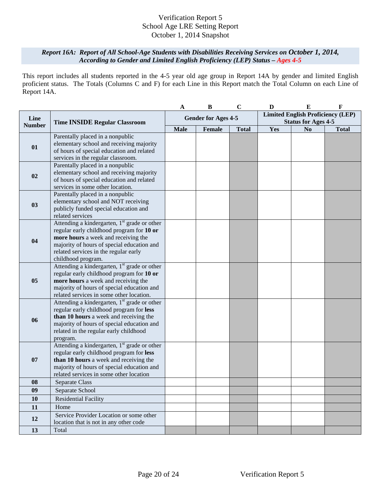### *Report 16A: Report of All School-Age Students with Disabilities Receiving Services on October 1, 2014, According to Gender and Limited English Proficiency (LEP) Status – Ages 4-5*

This report includes all students reported in the 4-5 year old age group in Report 14A by gender and limited English proficient status. The Totals (Columns C and F) for each Line in this Report match the Total Column on each Line of Report 14A.

|               |                                                                                                                                                                                                                                                 | A                          | $\bf{B}$ | $\mathbf C$  | D                                                                      | ${\bf E}$      | $\mathbf F$  |
|---------------|-------------------------------------------------------------------------------------------------------------------------------------------------------------------------------------------------------------------------------------------------|----------------------------|----------|--------------|------------------------------------------------------------------------|----------------|--------------|
| Line          | <b>Time INSIDE Regular Classroom</b>                                                                                                                                                                                                            | <b>Gender for Ages 4-5</b> |          |              | <b>Limited English Proficiency (LEP)</b><br><b>Status for Ages 4-5</b> |                |              |
| <b>Number</b> |                                                                                                                                                                                                                                                 | <b>Male</b>                | Female   | <b>Total</b> | Yes                                                                    | N <sub>0</sub> | <b>Total</b> |
| 01            | Parentally placed in a nonpublic<br>elementary school and receiving majority<br>of hours of special education and related<br>services in the regular classroom.                                                                                 |                            |          |              |                                                                        |                |              |
| 02            | Parentally placed in a nonpublic<br>elementary school and receiving majority<br>of hours of special education and related<br>services in some other location.                                                                                   |                            |          |              |                                                                        |                |              |
| 03            | Parentally placed in a nonpublic<br>elementary school and NOT receiving<br>publicly funded special education and<br>related services                                                                                                            |                            |          |              |                                                                        |                |              |
| 04            | Attending a kindergarten, $1st$ grade or other<br>regular early childhood program for 10 or<br>more hours a week and receiving the<br>majority of hours of special education and<br>related services in the regular early<br>childhood program. |                            |          |              |                                                                        |                |              |
| 05            | Attending a kindergarten, 1 <sup>st</sup> grade or other<br>regular early childhood program for 10 or<br>more hours a week and receiving the<br>majority of hours of special education and<br>related services in some other location.          |                            |          |              |                                                                        |                |              |
| 06            | Attending a kindergarten, $1st$ grade or other<br>regular early childhood program for less<br>than 10 hours a week and receiving the<br>majority of hours of special education and<br>related in the regular early childhood<br>program.        |                            |          |              |                                                                        |                |              |
| 07            | Attending a kindergarten, 1 <sup>st</sup> grade or other<br>regular early childhood program for less<br>than 10 hours a week and receiving the<br>majority of hours of special education and<br>related services in some other location         |                            |          |              |                                                                        |                |              |
| 08            | Separate Class                                                                                                                                                                                                                                  |                            |          |              |                                                                        |                |              |
| 09            | Separate School                                                                                                                                                                                                                                 |                            |          |              |                                                                        |                |              |
| 10            | <b>Residential Facility</b>                                                                                                                                                                                                                     |                            |          |              |                                                                        |                |              |
| 11            | Home                                                                                                                                                                                                                                            |                            |          |              |                                                                        |                |              |
| 12            | Service Provider Location or some other<br>location that is not in any other code                                                                                                                                                               |                            |          |              |                                                                        |                |              |
| 13            | Total                                                                                                                                                                                                                                           |                            |          |              |                                                                        |                |              |